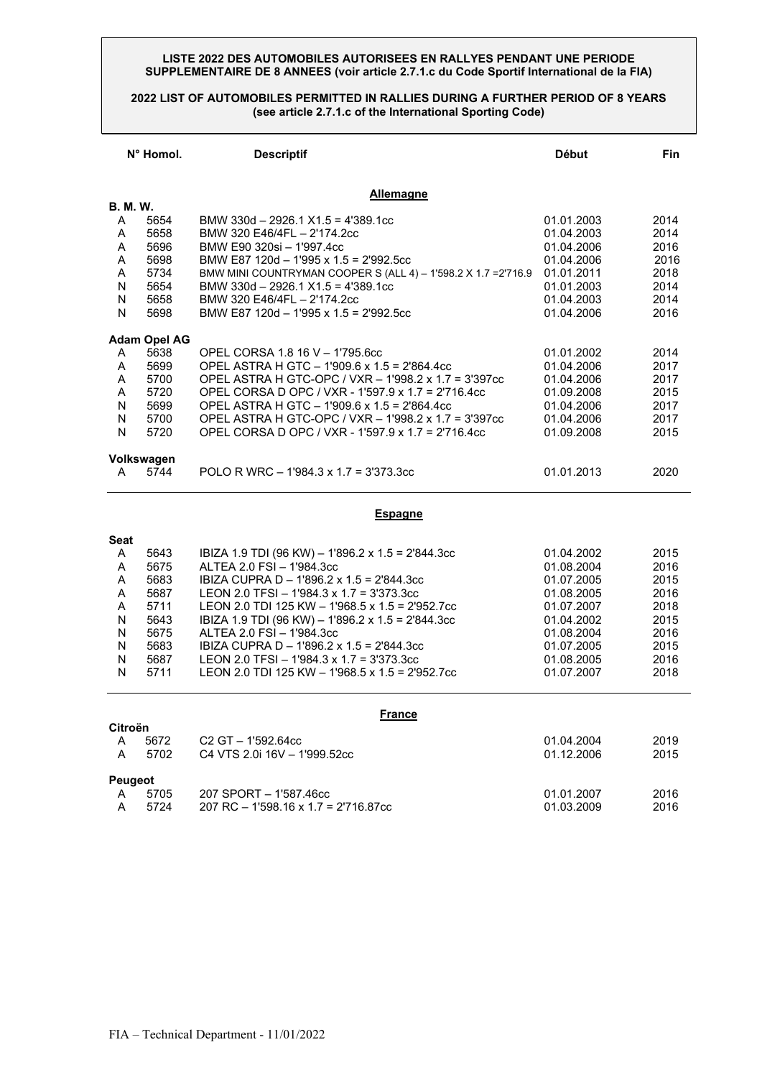# **2022 LIST OF AUTOMOBILES PERMITTED IN RALLIES DURING A FURTHER PERIOD OF 8 YEARS (see article 2.7.1.c of the International Sporting Code)**

|                 | N° Homol.           | <b>Descriptif</b>                                              | <b>Début</b> | <b>Fin</b> |
|-----------------|---------------------|----------------------------------------------------------------|--------------|------------|
|                 |                     | <b>Allemagne</b>                                               |              |            |
| <b>B. M. W.</b> |                     |                                                                |              |            |
| A               | 5654                | BMW 330d $-$ 2926.1 X1.5 = 4'389.1cc                           | 01.01.2003   | 2014       |
| A               | 5658                | BMW 320 E46/4FL - 2'174.2cc                                    | 01.04.2003   | 2014       |
| A               | 5696                | BMW E90 320si - 1'997.4cc                                      | 01.04.2006   | 2016       |
| A               | 5698                | BMW E87 120d - 1'995 x 1.5 = 2'992.5cc                         | 01.04.2006   | 2016       |
| A               | 5734                | BMW MINI COUNTRYMAN COOPER S (ALL 4) - 1'598.2 X 1.7 = 2'716.9 | 01.01.2011   | 2018       |
| N               | 5654                | BMW 330d - 2926.1 X1.5 = 4'389.1cc                             | 01.01.2003   | 2014       |
| N               | 5658                | BMW 320 E46/4FL - 2'174.2cc                                    | 01.04.2003   | 2014       |
| N               | 5698                | BMW E87 120d - 1'995 x 1.5 = 2'992.5cc                         | 01.04.2006   | 2016       |
|                 | <b>Adam Opel AG</b> |                                                                |              |            |
| A               | 5638                | OPEL CORSA 1.8 16 V - 1'795.6cc                                | 01.01.2002   | 2014       |
| Α               | 5699                | OPEL ASTRA H GTC - 1'909.6 x 1.5 = 2'864.4cc                   | 01.04.2006   | 2017       |
| A               | 5700                | OPEL ASTRA H GTC-OPC / VXR - 1'998.2 x 1.7 = 3'397cc           | 01.04.2006   | 2017       |
| A               | 5720                | OPEL CORSA D OPC / VXR - 1'597.9 x 1.7 = 2'716.4cc             | 01.09.2008   | 2015       |
| N               | 5699                | OPEL ASTRA H GTC - 1'909.6 x 1.5 = 2'864.4cc                   | 01.04.2006   | 2017       |
| N               | 5700                | OPEL ASTRA H GTC-OPC / VXR - 1'998.2 x 1.7 = 3'397cc           | 01.04.2006   | 2017       |
| N               | 5720                | OPEL CORSA D OPC / VXR - 1'597.9 x 1.7 = 2'716.4cc             | 01.09.2008   | 2015       |
|                 | Volkswagen          |                                                                |              |            |
| A               | 5744                | POLO R WRC $-$ 1'984.3 x 1.7 = 3'373.3cc                       | 01.01.2013   | 2020       |
|                 |                     | <b>Espagne</b>                                                 |              |            |
|                 |                     |                                                                |              |            |
| <b>Seat</b>     |                     |                                                                |              |            |

| A | 5643 | IBIZA 1.9 TDI (96 KW) - 1'896.2 x 1.5 = 2'844.3cc | 01.04.2002 | 2015 |
|---|------|---------------------------------------------------|------------|------|
| A | 5675 | ALTEA 2.0 FSI - 1'984.3cc                         | 01.08.2004 | 2016 |
| A | 5683 | IBIZA CUPRA D - 1'896.2 x 1.5 = 2'844.3cc         | 01.07.2005 | 2015 |
| A | 5687 | LEON 2.0 TFSI - 1'984.3 x 1.7 = 3'373.3cc         | 01.08.2005 | 2016 |
| A | 5711 | LEON 2.0 TDI 125 KW - 1'968.5 x 1.5 = 2'952.7cc   | 01.07.2007 | 2018 |
| N | 5643 | IBIZA 1.9 TDI (96 KW) - 1'896.2 x 1.5 = 2'844.3cc | 01.04.2002 | 2015 |
| N | 5675 | ALTEA 2.0 FSI - 1'984.3cc                         | 01.08.2004 | 2016 |
| N | 5683 | IBIZA CUPRA D - 1'896.2 x 1.5 = 2'844.3cc         | 01.07.2005 | 2015 |
| N | 5687 | LEON 2.0 TFSI - 1'984.3 x 1.7 = 3'373.3cc         | 01.08.2005 | 2016 |
| N | 5711 | LEON 2.0 TDI 125 KW - 1'968.5 x 1.5 = 2'952.7cc   | 01.07.2007 | 2018 |

#### **France**

| Citroën        |      |                                      |            |      |
|----------------|------|--------------------------------------|------------|------|
| А              | 5672 | $C2$ GT $-$ 1'592.64cc               | 01.04.2004 | 2019 |
| A              | 5702 | C4 VTS 2.0i 16V - 1'999.52cc         | 01.12.2006 | 2015 |
| <b>Peugeot</b> |      |                                      |            |      |
|                | 5705 | 207 SPORT - 1'587.46cc               | 01.01.2007 | 2016 |
|                | 5724 | 207 RC - 1'598.16 x 1.7 = 2'716.87cc | 01.03.2009 | 2016 |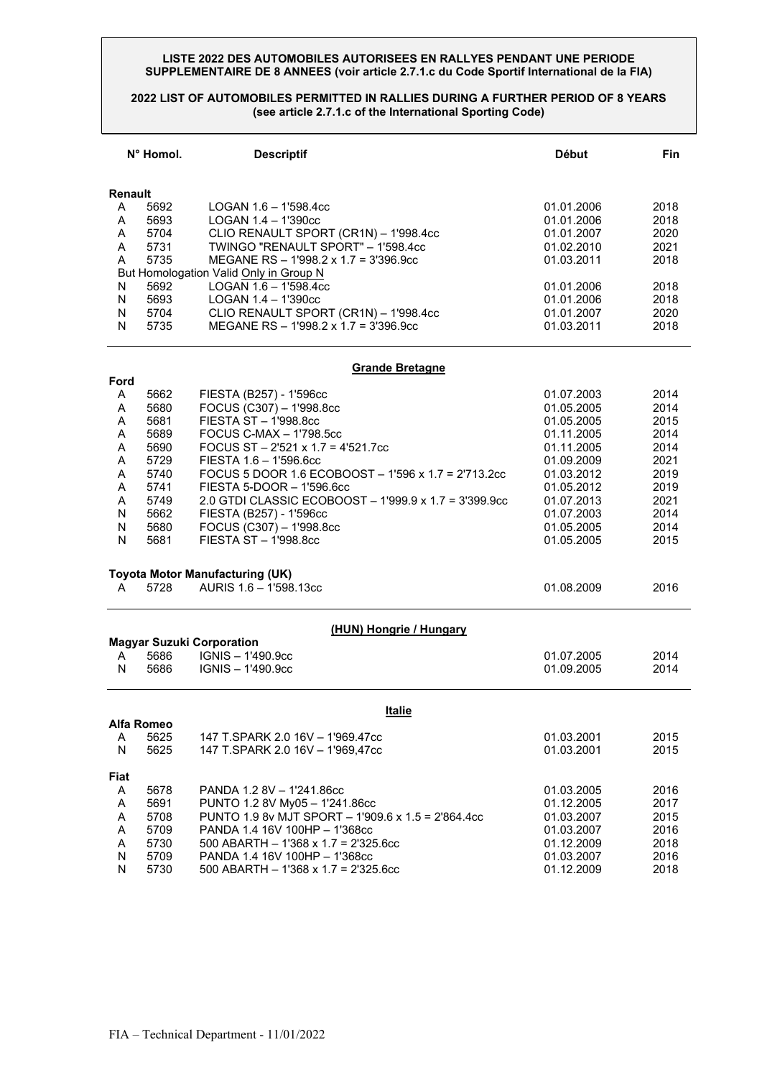**2022 LIST OF AUTOMOBILES PERMITTED IN RALLIES DURING A FURTHER PERIOD OF 8 YEARS (see article 2.7.1.c of the International Sporting Code)** 

|                | $N^{\circ}$ Homol. | <b>Descriptif</b>                       | <b>Début</b> | Fin  |
|----------------|--------------------|-----------------------------------------|--------------|------|
| <b>Renault</b> |                    |                                         |              |      |
| A              | 5692               | LOGAN 1.6 - 1'598.4cc                   | 01.01.2006   | 2018 |
| A              | 5693               | $LOGAN 1.4 - 1'390cc$                   | 01.01.2006   | 2018 |
| A              | 5704               | CLIO RENAULT SPORT (CR1N) - 1'998.4cc   | 01.01.2007   | 2020 |
| A              | 5731               | TWINGO "RENAULT SPORT" - 1'598.4cc      | 01.02.2010   | 2021 |
| A              | 5735               | MEGANE RS $-$ 1'998.2 x 1.7 = 3'396.9cc | 01.03.2011   | 2018 |
|                |                    | But Homologation Valid Only in Group N  |              |      |
| N              | 5692               | LOGAN 1.6 - 1'598.4cc                   | 01.01.2006   | 2018 |
| N              | 5693               | $LOGAN 1.4 - 1'390cc$                   | 01.01.2006   | 2018 |
| N              | 5704               | CLIO RENAULT SPORT (CR1N) - 1'998.4cc   | 01.01.2007   | 2020 |
| N              | 5735               | MEGANE RS $-$ 1'998.2 x 1.7 = 3'396.9cc | 01.03.2011   | 2018 |

## **Grande Bretagne**

| Ford |            |                                                                                                                                                                                                                                                                                                                             |            |      |
|------|------------|-----------------------------------------------------------------------------------------------------------------------------------------------------------------------------------------------------------------------------------------------------------------------------------------------------------------------------|------------|------|
| A    | 5662       | FIESTA (B257) - 1'596cc                                                                                                                                                                                                                                                                                                     | 01.07.2003 | 2014 |
| A    | 5680       | FOCUS (C307) - 1'998.8cc                                                                                                                                                                                                                                                                                                    | 01.05.2005 | 2014 |
| A    | 5681       | FIESTA ST - 1'998.8cc                                                                                                                                                                                                                                                                                                       | 01.05.2005 | 2015 |
| A    | 5689       | FOCUS C-MAX $-$ 1'798.5cc                                                                                                                                                                                                                                                                                                   | 01.11.2005 | 2014 |
|      |            |                                                                                                                                                                                                                                                                                                                             |            |      |
| A    | 5690       | FOCUS ST $-$ 2'521 x 1.7 = 4'521.7cc                                                                                                                                                                                                                                                                                        | 01.11.2005 | 2014 |
| Α    | 5729       | FIESTA 1.6 - 1'596.6cc                                                                                                                                                                                                                                                                                                      | 01.09.2009 | 2021 |
| A    | 5740       | FOCUS 5 DOOR 1.6 ECOBOOST - 1'596 x 1.7 = 2'713.2cc                                                                                                                                                                                                                                                                         | 01.03.2012 | 2019 |
| A    | 5741       | FIESTA 5-DOOR - 1'596.6cc                                                                                                                                                                                                                                                                                                   | 01.05.2012 | 2019 |
| A    | 5749       | 2.0 GTDI CLASSIC ECOBOOST - 1'999.9 x 1.7 = 3'399.9cc                                                                                                                                                                                                                                                                       | 01.07.2013 | 2021 |
| N    | 5662       | FIESTA (B257) - 1'596cc                                                                                                                                                                                                                                                                                                     | 01.07.2003 | 2014 |
| N    | 5680       | FOCUS (C307) - 1'998.8cc                                                                                                                                                                                                                                                                                                    | 01.05.2005 | 2014 |
| N    | 5681       | FIESTA ST - 1'998.8cc                                                                                                                                                                                                                                                                                                       | 01.05.2005 | 2015 |
| A    | 5728       | Toyota Motor Manufacturing (UK)<br>AURIS 1.6 - 1'598.13cc                                                                                                                                                                                                                                                                   | 01.08.2009 | 2016 |
|      |            | (HUN) Hongrie / Hungary                                                                                                                                                                                                                                                                                                     |            |      |
|      |            | <b>Magyar Suzuki Corporation</b>                                                                                                                                                                                                                                                                                            |            |      |
| A    | 5686       | IGNIS - 1'490.9cc                                                                                                                                                                                                                                                                                                           | 01.07.2005 | 2014 |
| N    | 5686       | $IGNIS - 1'490.9cc$                                                                                                                                                                                                                                                                                                         | 01.09.2005 | 2014 |
|      |            | Italie                                                                                                                                                                                                                                                                                                                      |            |      |
|      | Alfa Romeo |                                                                                                                                                                                                                                                                                                                             |            |      |
| A    | 5625       | 147 T.SPARK 2.0 16V - 1'969.47cc                                                                                                                                                                                                                                                                                            | 01.03.2001 | 2015 |
| N    | 5625       | 147 T.SPARK 2.0 16V - 1'969,47cc                                                                                                                                                                                                                                                                                            | 01.03.2001 | 2015 |
|      |            |                                                                                                                                                                                                                                                                                                                             |            |      |
| Fiat |            |                                                                                                                                                                                                                                                                                                                             |            |      |
|      | 5070       | $P$ $\mathbf{A}$ $\mathbf{A}$ $\mathbf{A}$ $\mathbf{A}$ $\mathbf{A}$ $\mathbf{A}$ $\mathbf{A}$ $\mathbf{A}$ $\mathbf{A}$ $\mathbf{A}$ $\mathbf{A}$ $\mathbf{A}$ $\mathbf{A}$ $\mathbf{A}$ $\mathbf{A}$ $\mathbf{A}$ $\mathbf{A}$ $\mathbf{A}$ $\mathbf{A}$ $\mathbf{A}$ $\mathbf{A}$ $\mathbf{A}$ $\mathbf{A}$ $\mathbf{A}$ | 0.4,00,000 | 0.10 |

| A            | 5678 | PANDA 1.2 8V - 1'241.86cc                          | 01.03.2005 | 2016 |
|--------------|------|----------------------------------------------------|------------|------|
| $\mathsf{A}$ | 5691 | PUNTO 1.2 8V My05 - 1'241.86cc                     | 01.12.2005 | 2017 |
| A            | 5708 | PUNTO 1.9 8y MJT SPORT - 1'909.6 x 1.5 = 2'864.4cc | 01.03.2007 | 2015 |
| A            | 5709 | PANDA 1.4 16V 100HP - 1'368cc                      | 01.03.2007 | 2016 |
| A            | 5730 | 500 ABARTH $-1'368 \times 1.7 = 2'325.6$ cc        | 01.12.2009 | 2018 |
| N            | 5709 | PANDA 1.4 16V 100HP - 1'368cc                      | 01.03.2007 | 2016 |
| N            | 5730 | 500 ABARTH $-1'368 \times 1.7 = 2'325.6$ cc        | 01.12.2009 | 2018 |
|              |      |                                                    |            |      |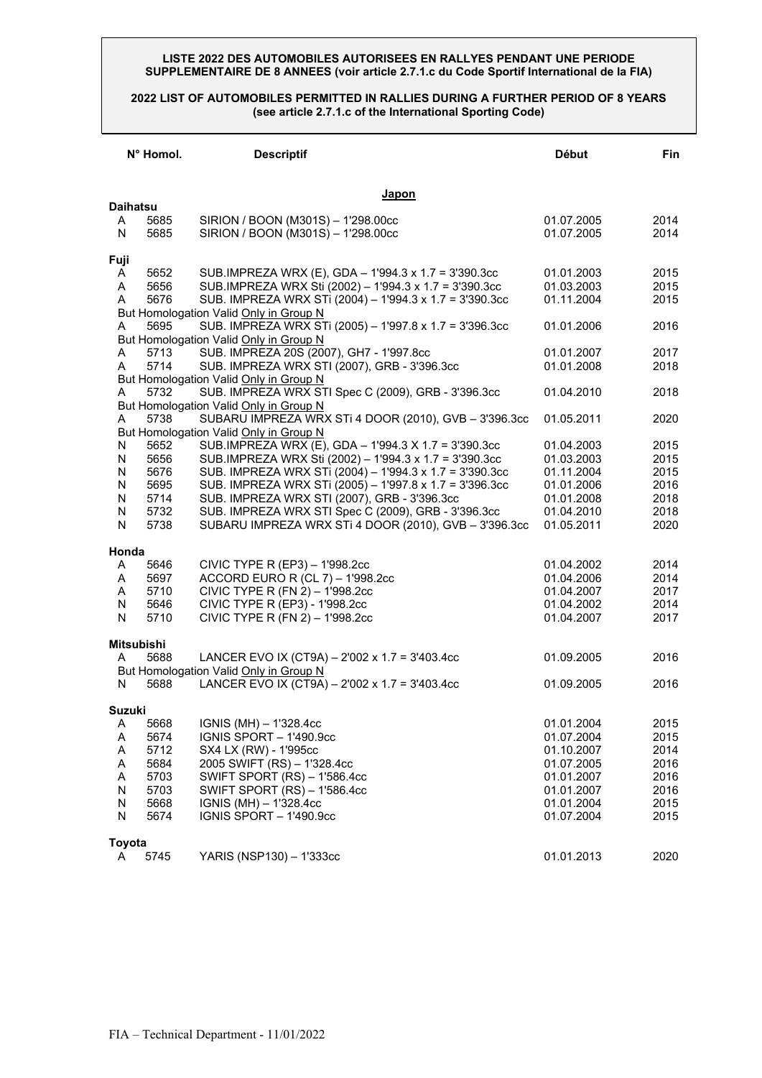# **2022 LIST OF AUTOMOBILES PERMITTED IN RALLIES DURING A FURTHER PERIOD OF 8 YEARS (see article 2.7.1.c of the International Sporting Code)**

|                 | N° Homol.    | <b>Descriptif</b>                                        | <b>Début</b>             | <b>Fin</b>   |
|-----------------|--------------|----------------------------------------------------------|--------------------------|--------------|
|                 |              | Japon                                                    |                          |              |
| <b>Daihatsu</b> |              |                                                          |                          |              |
| A               | 5685         | SIRION / BOON (M301S) - 1'298.00cc                       | 01.07.2005               | 2014         |
| N               | 5685         | SIRION / BOON (M301S) - 1'298.00cc                       | 01.07.2005               | 2014         |
| Fuji            |              |                                                          |                          |              |
| A               | 5652         | SUB.IMPREZA WRX (E), GDA - 1'994.3 x 1.7 = 3'390.3cc     | 01.01.2003               | 2015         |
| A               | 5656         | SUB.IMPREZA WRX Sti (2002) - 1'994.3 x 1.7 = 3'390.3cc   | 01.03.2003               | 2015         |
| A               | 5676         | SUB. IMPREZA WRX STi (2004) - 1'994.3 x 1.7 = 3'390.3cc  | 01.11.2004               | 2015         |
|                 |              | But Homologation Valid Only in Group N                   |                          |              |
| A               | 5695         | SUB. IMPREZA WRX STi (2005) - 1'997.8 x 1.7 = 3'396.3cc  | 01.01.2006               | 2016         |
|                 |              | But Homologation Valid Only in Group N                   |                          |              |
| Α               | 5713         | SUB. IMPREZA 20S (2007), GH7 - 1'997.8cc                 | 01.01.2007               | 2017         |
| A               | 5714         | SUB. IMPREZA WRX STI (2007), GRB - 3'396.3cc             | 01.01.2008               | 2018         |
|                 |              | But Homologation Valid Only in Group N                   |                          |              |
| A               | 5732         | SUB. IMPREZA WRX STI Spec C (2009), GRB - 3'396.3cc      | 01.04.2010               | 2018         |
|                 |              | But Homologation Valid Only in Group N                   |                          |              |
| Α               | 5738         | SUBARU IMPREZA WRX STi 4 DOOR (2010), GVB - 3'396.3cc    | 01.05.2011               | 2020         |
|                 |              | But Homologation Valid Only in Group N                   |                          |              |
| Ν               | 5652         | SUB.IMPREZA WRX (E), GDA - 1'994.3 X 1.7 = 3'390.3cc     | 01.04.2003               | 2015         |
| Ν               | 5656         | SUB.IMPREZA WRX Sti (2002) - 1'994.3 x 1.7 = 3'390.3cc   | 01.03.2003               | 2015         |
| Ν               | 5676         | SUB. IMPREZA WRX STi (2004) - 1'994.3 x 1.7 = 3'390.3cc  | 01.11.2004               | 2015         |
| Ν               | 5695         | SUB. IMPREZA WRX STi (2005) - 1'997.8 x 1.7 = 3'396.3cc  | 01.01.2006               | 2016         |
| Ν               | 5714         | SUB. IMPREZA WRX STI (2007), GRB - 3'396.3cc             | 01.01.2008               | 2018         |
| N               | 5732         | SUB. IMPREZA WRX STI Spec C (2009), GRB - 3'396.3cc      | 01.04.2010               | 2018         |
| N               | 5738         | SUBARU IMPREZA WRX STi 4 DOOR (2010), GVB - 3'396.3cc    | 01.05.2011               | 2020         |
|                 |              |                                                          |                          |              |
| Honda           | 5646         |                                                          | 01.04.2002               | 2014         |
| A               |              | CIVIC TYPE R (EP3) - 1'998.2cc                           |                          | 2014         |
| A               | 5697         | ACCORD EURO R (CL 7) - 1'998.2cc                         | 01.04.2006               | 2017         |
| A               | 5710         | CIVIC TYPE R (FN 2) - 1'998.2cc                          | 01.04.2007               |              |
| N<br>N          | 5646         | CIVIC TYPE R (EP3) - 1'998.2cc                           | 01.04.2002               | 2014<br>2017 |
|                 | 5710         | CIVIC TYPE R (FN 2) - 1'998.2cc                          | 01.04.2007               |              |
| Mitsubishi      |              |                                                          |                          |              |
| A               | 5688         | LANCER EVO IX (CT9A) - 2'002 x 1.7 = 3'403.4cc           | 01.09.2005               | 2016         |
|                 |              | But Homologation Valid Only in Group N                   |                          |              |
| N               | 5688         | LANCER EVO IX (CT9A) - 2'002 x 1.7 = 3'403.4cc           | 01.09.2005               | 2016         |
|                 |              |                                                          |                          |              |
| Suzuki          |              | IGNIS (MH) - 1'328.4cc                                   |                          | 2015         |
| A<br>A          | 5668<br>5674 | IGNIS SPORT - 1'490.9cc                                  | 01.01.2004<br>01.07.2004 | 2015         |
|                 |              | SX4 LX (RW) - 1'995cc                                    |                          | 2014         |
| A<br>A          | 5712<br>5684 | 2005 SWIFT (RS) - 1'328.4cc                              | 01.10.2007<br>01.07.2005 | 2016         |
|                 |              |                                                          |                          |              |
| A               | 5703         | SWIFT SPORT (RS) - 1'586.4cc                             | 01.01.2007               | 2016         |
| N<br>Ν          | 5703         | SWIFT SPORT (RS) - 1'586.4cc                             | 01.01.2007               | 2016         |
|                 | 5668         | IGNIS (MH) - 1'328.4cc<br><b>IGNIS SPORT - 1'490.9cc</b> | 01.01.2004               | 2015         |
| N               | 5674         |                                                          | 01.07.2004               | 2015         |
| <b>Toyota</b>   |              |                                                          |                          |              |
| A               | 5745         | YARIS (NSP130) - 1'333cc                                 | 01.01.2013               | 2020         |